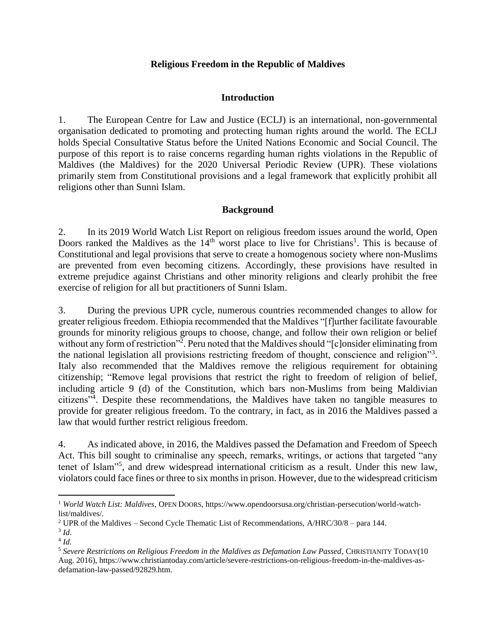## **Religious Freedom in the Republic of Maldives**

## **Introduction**

1. The European Centre for Law and Justice (ECLJ) is an international, non-governmental organisation dedicated to promoting and protecting human rights around the world. The ECLJ holds Special Consultative Status before the United Nations Economic and Social Council. The purpose of this report is to raise concerns regarding human rights violations in the Republic of Maldives (the Maldives) for the 2020 Universal Periodic Review (UPR). These violations primarily stem from Constitutional provisions and a legal framework that explicitly prohibit all religions other than Sunni Islam.

#### **Background**

2. In its 2019 World Watch List Report on religious freedom issues around the world, Open Doors ranked the Maldives as the  $14<sup>th</sup>$  worst place to live for Christians<sup>1</sup>. This is because of Constitutional and legal provisions that serve to create a homogenous society where non-Muslims are prevented from even becoming citizens. Accordingly, these provisions have resulted in extreme prejudice against Christians and other minority religions and clearly prohibit the free exercise of religion for all but practitioners of Sunni Islam.

3. During the previous UPR cycle, numerous countries recommended changes to allow for greater religious freedom. Ethiopia recommended that the Maldives "[f]urther facilitate favourable grounds for minority religious groups to choose, change, and follow their own religion or belief without any form of restriction"<sup>2</sup>. Peru noted that the Maldives should "[c]onsider eliminating from the national legislation all provisions restricting freedom of thought, conscience and religion"<sup>3</sup>. Italy also recommended that the Maldives remove the religious requirement for obtaining citizenship; "Remove legal provisions that restrict the right to freedom of religion of belief, including article 9 (d) of the Constitution, which bars non-Muslims from being Maldivian citizens"<sup>4</sup>. Despite these recommendations, the Maldives have taken no tangible measures to provide for greater religious freedom. To the contrary, in fact, as in 2016 the Maldives passed a law that would further restrict religious freedom.

4. As indicated above, in 2016, the Maldives passed the Defamation and Freedom of Speech Act. This bill sought to criminalise any speech, remarks, writings, or actions that targeted "any tenet of Islam"<sup>5</sup> , and drew widespread international criticism as a result. Under this new law, violators could face fines or three to six months in prison. However, due to the widespread criticism

 $\overline{a}$ 

<sup>1</sup> *World Watch List: Maldives*, OPEN DOORS, https://www.opendoorsusa.org/christian-persecution/world-watchlist/maldives/.

<sup>&</sup>lt;sup>2</sup> UPR of the Maldives – Second Cycle Thematic List of Recommendations,  $A/HRC/30/8$  – para 144.

<sup>3</sup> *Id*.

<sup>4</sup> *Id.*

<sup>5</sup> *Severe Restrictions on Religious Freedom in the Maldives as Defamation Law Passed*, CHRISTIANITY TODAY(10 Aug. 2016), https://www.christiantoday.com/article/severe-restrictions-on-religious-freedom-in-the-maldives-asdefamation-law-passed/92829.htm.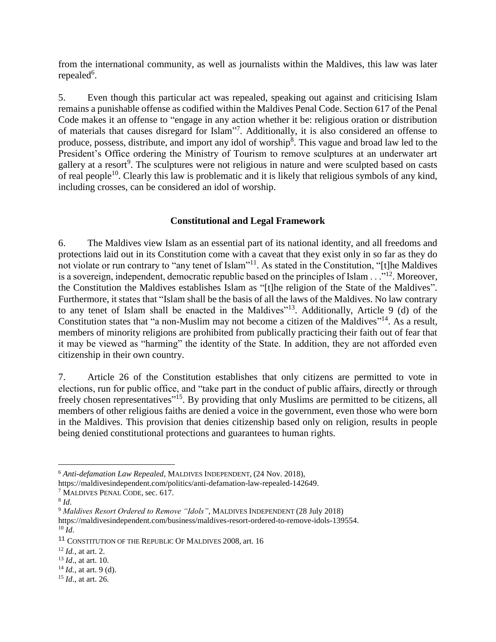from the international community, as well as journalists within the Maldives, this law was later repealed<sup>6</sup>.

5. Even though this particular act was repealed, speaking out against and criticising Islam remains a punishable offense as codified within the Maldives Penal Code. Section 617 of the Penal Code makes it an offense to "engage in any action whether it be: religious oration or distribution of materials that causes disregard for Islam"<sup>7</sup>. Additionally, it is also considered an offense to produce, possess, distribute, and import any idol of worship<sup>8</sup>. This vague and broad law led to the President's Office ordering the Ministry of Tourism to remove sculptures at an underwater art gallery at a resort<sup>9</sup>. The sculptures were not religious in nature and were sculpted based on casts of real people<sup>10</sup>. Clearly this law is problematic and it is likely that religious symbols of any kind, including crosses, can be considered an idol of worship.

# **Constitutional and Legal Framework**

6. The Maldives view Islam as an essential part of its national identity, and all freedoms and protections laid out in its Constitution come with a caveat that they exist only in so far as they do not violate or run contrary to "any tenet of Islam"<sup>11</sup>. As stated in the Constitution, "[t]he Maldives is a sovereign, independent, democratic republic based on the principles of Islam  $\dots$ <sup>12</sup>. Moreover, the Constitution the Maldives establishes Islam as "[t]he religion of the State of the Maldives". Furthermore, it states that "Islam shall be the basis of all the laws of the Maldives. No law contrary to any tenet of Islam shall be enacted in the Maldives"<sup>13</sup>. Additionally, Article 9 (d) of the Constitution states that "a non-Muslim may not become a citizen of the Maldives"<sup>14</sup>. As a result, members of minority religions are prohibited from publically practicing their faith out of fear that it may be viewed as "harming" the identity of the State. In addition, they are not afforded even citizenship in their own country.

7. Article 26 of the Constitution establishes that only citizens are permitted to vote in elections, run for public office, and "take part in the conduct of public affairs, directly or through freely chosen representatives"<sup>15</sup>. By providing that only Muslims are permitted to be citizens, all members of other religious faiths are denied a voice in the government, even those who were born in the Maldives. This provision that denies citizenship based only on religion, results in people being denied constitutional protections and guarantees to human rights.

 $\overline{a}$ 

<sup>6</sup> *Anti-defamation Law Repealed*, MALDIVES INDEPENDENT, (24 Nov. 2018),

https://maldivesindependent.com/politics/anti-defamation-law-repealed-142649.

<sup>7</sup> MALDIVES PENAL CODE, sec. 617.

<sup>8</sup> *Id*.

<sup>9</sup> *Maldives Resort Ordered to Remove "Idols"*, MALDIVES INDEPENDENT (28 July 2018)

https://maldivesindependent.com/business/maldives-resort-ordered-to-remove-idols-139554. <sup>10</sup> *Id*.

<sup>11</sup> CONSTITUTION OF THE REPUBLIC OF MALDIVES 2008, art. 16

<sup>12</sup> *Id.*, at art. 2.

<sup>13</sup> *Id*., at art. 10.

<sup>14</sup> *Id.,* at art. 9 (d).

<sup>15</sup> *Id*., at art. 26.